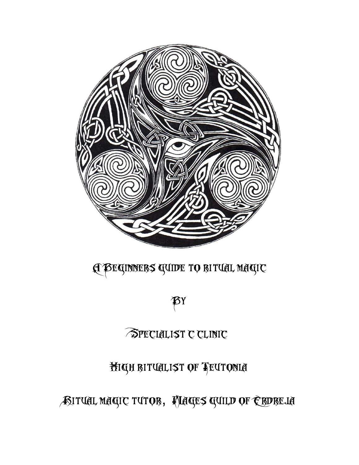# ASITUAL MAGIC TUTOB, HIAGES GUILD OF ERDREJA

## High ritualist of Teutonia

## Specialist c clinic

# $\beta$ y

# A Beginners guide to ritual magic

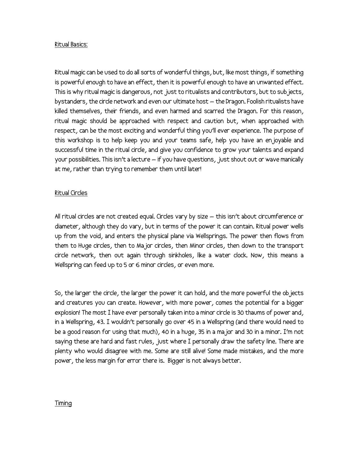#### Ritual Basics:

Ritual magic can be used to do all sorts of wonderful things, but, like most things, if something is powerful enough to have an effect, then it is powerful enough to have an unwanted effect. This is why ritual magic is dangerous, not just to ritualists and contributors, but to subjects, bystanders, the circle network and even our ultimate host – the Dragon. Foolish ritualists have killed themselves, their friends, and even harmed and scarred the Dragon. For this reason, ritual magic should be approached with respect and caution but, when approached with respect, can be the most exciting and wonderful thing you'll ever experience. The purpose of this workshop is to help keep you and your teams safe, help you have an enjoyable and successful time in the ritual circle, and give you confidence to grow your talents and expand your possibilities. This isn't a lecture – if you have questions, just shout out or wave manically at me, rather than trying to remember them until later!

#### Ritual Circles

All ritual circles are not created equal. Circles vary by size – this isn't about circumference or diameter, although they do vary, but in terms of the power it can contain. Ritual power wells up from the void, and enters the physical plane via Wellsprings. The power then flows from them to Huge circles, then to Major circles, then Minor circles, then down to the transport circle network, then out again through sinkholes, like a water clock. Now, this means a Wellspring can feed up to 5 or 6 minor circles, or even more.

So, the larger the circle, the larger the power it can hold, and the more powerful the objects and creatures you can create. However, with more power, comes the potential for a bigger explosion! The most I have ever personally taken into a minor circle is 30 thaums of power and, in a Wellspring, 43. I wouldn't personally go over 45 in a Wellspring (and there would need to be a good reason for using that much), 40 in a huge, 35 in a major and 30 in a minor. I'm not saying these are hard and fast rules, just where I personally draw the safety line. There are plenty who would disagree with me. Some are still alive! Some made mistakes, and the more power, the less margin for error there is. Bigger is not always better.

## Timing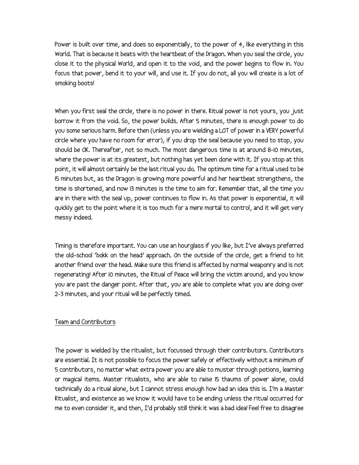Power is built over time, and does so exponentially, to the power of 4, like everything in this World. That is because it beats with the heartbeat of the Dragon. When you seal the circle, you close it to the physical World, and open it to the void, and the power begins to flow in. You focus that power, bend it to your will, and use it. If you do not, all you will create is a lot of smoking boots!

When you first seal the circle, there is no power in there. Ritual power is not yours, you just borrow it from the void. So, the power builds. After 5 minutes, there is enough power to do you some serious harm. Before then (unless you are wielding a LOT of power in a VERY powerful circle where you have no room for error), if you drop the seal because you need to stop, you should be OK. Thereafter, not so much. The most dangerous time is at around 8-10 minutes, where the power is at its greatest, but nothing has yet been done with it. If you stop at this point, it will almost certainly be the last ritual you do. The optimum time for a ritual used to be 15 minutes but, as the Dragon is growing more powerful and her heartbeat strengthens, the time is shortened, and now 13 minutes is the time to aim for. Remember that, all the time you are in there with the seal up, power continues to flow in. As that power is exponential, it will quickly get to the point where it is too much for a mere mortal to control, and it will get very messy indeed.

Timing is therefore important. You can use an hourglass if you like, but I've always preferred the old-school 'bokk on the head' approach. On the outside of the circle, get a friend to hit another friend over the head. Make sure this friend is affected by normal weaponry and is not regenerating! After 10 minutes, the Ritual of Peace will bring the victim around, and you know you are past the danger point. After that, you are able to complete what you are doing over 2-3 minutes, and your ritual will be perfectly timed.

## Team and Contributors

The power is wielded by the ritualist, but focussed through their contributors. Contributors are essential. It is not possible to focus the power safely or effectively without a minimum of 5 contributors, no matter what extra power you are able to muster through potions, learning or magical items. Master ritualists, who are able to raise 15 thaums of power alone, could technically do a ritual alone, but I cannot stress enough how bad an idea this is. I'm a Master Ritualist, and existence as we know it would have to be ending unless the ritual occurred for me to even consider it, and then, I'd probably still think it was a bad idea! Feel free to disagree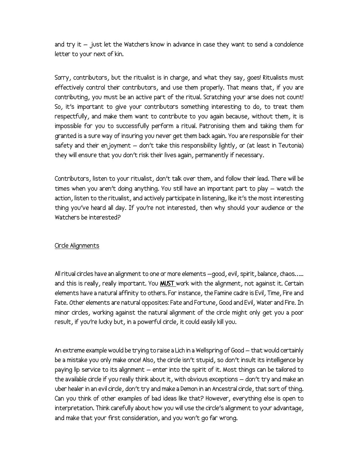and try it – just let the Watchers know in advance in case they want to send a condolence letter to your next of kin.

Sorry, contributors, but the ritualist is in charge, and what they say, goes! Ritualists must effectively control their contributors, and use them properly. That means that, if you are contributing, you must be an active part of the ritual. Scratching your arse does not count! So, it's important to give your contributors something interesting to do, to treat them respectfully, and make them want to contribute to you again because, without them, it is impossible for you to successfully perform a ritual. Patronising them and taking them for granted is a sure way of insuring you never get them back again. You are responsible for their safety and their en joyment  $-$  don't take this responsibility lightly, or (at least in Teutonia) they will ensure that you don't risk their lives again, permanently if necessary.

Contributors, listen to your ritualist, don't talk over them, and follow their lead. There will be times when you aren't doing anything. You still have an important part to play – watch the action, listen to the ritualist, and actively participate in listening, like it's the most interesting thing you've heard all day. If you're not interested, then why should your audience or the Watchers be interested?

## Circle Alignments

All ritual circles have an alignment to one or more elements –good, evil, spirit, balance, chaos….. and this is really, really important. You **MUST** work with the alignment, not against it. Certain elements have a natural affinity to others. For instance, the Famine cadre is Evil, Time, Fire and Fate. Other elements are natural opposites: Fate and Fortune, Good and Evil, Water and Fire. In minor circles, working against the natural alignment of the circle might only get you a poor result, if you're lucky but, in a powerful circle, it could easily kill you.

An extreme example would be trying to raise a Lich in a Wellspring of Good – that would certainly be a mistake you only make once! Also, the circle isn't stupid, so don't insult its intelligence by paying lip service to its alignment – enter into the spirit of it. Most things can be tailored to the available circle if you really think about it, with obvious exceptions – don't try and make an uber healer in an evil circle, don't try and make a Demon in an Ancestral circle, that sort of thing. Can you think of other examples of bad ideas like that? However, everything else is open to interpretation. Think carefully about how you will use the circle's alignment to your advantage, and make that your first consideration, and you won't go far wrong.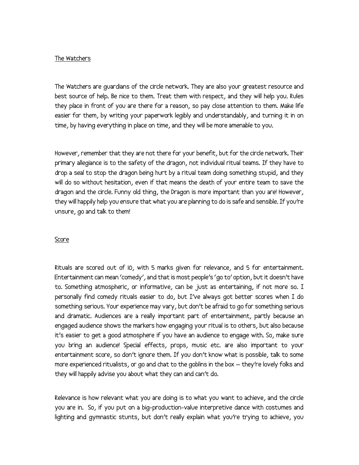#### The Watchers

The Watchers are guardians of the circle network. They are also your greatest resource and best source of help. Be nice to them. Treat them with respect, and they will help you. Rules they place in front of you are there for a reason, so pay close attention to them. Make life easier for them, by writing your paperwork legibly and understandably, and turning it in on time, by having everything in place on time, and they will be more amenable to you.

However, remember that they are not there for your benefit, but for the circle network. Their primary allegiance is to the safety of the dragon, not individual ritual teams. If they have to drop a seal to stop the dragon being hurt by a ritual team doing something stupid, and they will do so without hesitation, even if that means the death of your entire team to save the dragon and the circle. Funny old thing, the Dragon is more important than you are! However, they will happily help you ensure that what you are planning to do is safe and sensible. If you're unsure, go and talk to them!

#### Score

Rituals are scored out of 10, with 5 marks given for relevance, and 5 for entertainment. Entertainment can mean 'comedy', and that is most people's 'go to' option, but it doesn't have to. Something atmospheric, or informative, can be just as entertaining, if not more so. I personally find comedy rituals easier to do, but I've always got better scores when I do something serious. Your experience may vary, but don't be afraid to go for something serious and dramatic. Audiences are a really important part of entertainment, partly because an engaged audience shows the markers how engaging your ritual is to others, but also because it's easier to get a good atmosphere if you have an audience to engage with. So, make sure you bring an audience! Special effects, props, music etc. are also important to your entertainment score, so don't ignore them. If you don't know what is possible, talk to some more experienced ritualists, or go and chat to the goblins in the box – they're lovely folks and they will happily advise you about what they can and can't do.

Relevance is how relevant what you are doing is to what you want to achieve, and the circle you are in. So, if you put on a big-production-value interpretive dance with costumes and lighting and gymnastic stunts, but don't really explain what you're trying to achieve, you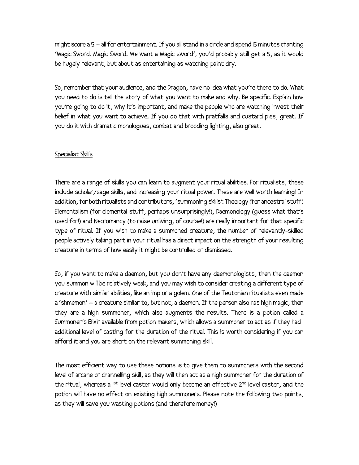might score a 5 – all for entertainment. If you all stand in a circle and spend 15 minutes chanting 'Magic Sword. Magic Sword. We want a Magic sword', you'd probably still get a 5, as it would be hugely relevant, but about as entertaining as watching paint dry.

So, remember that your audience, and the Dragon, have no idea what you're there to do. What you need to do is tell the story of what you want to make and why. Be specific. Explain how you're going to do it, why it's important, and make the people who are watching invest their belief in what you want to achieve. If you do that with pratfalls and custard pies, great. If you do it with dramatic monologues, combat and brooding lighting, also great.

## Specialist Skills

There are a range of skills you can learn to augment your ritual abilities. For ritualists, these include scholar/sage skills, and increasing your ritual power. These are well worth learning! In addition, for both ritualists and contributors, 'summoning skills': Theology (for ancestral stuff) Elementalism (for elemental stuff, perhaps unsurprisingly!), Daemonology (guess what that's used for!) and Necromancy (to raise unliving, of course!) are really important for that specific type of ritual. If you wish to make a summoned creature, the number of relevantly-skilled people actively taking part in your ritual has a direct impact on the strength of your resulting creature in terms of how easily it might be controlled or dismissed.

So, if you want to make a daemon, but you don't have any daemonologists, then the daemon you summon will be relatively weak, and you may wish to consider creating a different type of creature with similar abilities, like an imp or a golem. One of the Teutonian ritualists even made a 'shmemon' – a creature similar to, but not, a daemon. If the person also has high magic, then they are a high summoner, which also augments the results. There is a potion called a Summoner's Elixir available from potion makers, which allows a summoner to act as if they had 1 additional level of casting for the duration of the ritual. This is worth considering if you can afford it and you are short on the relevant summoning skill.

The most efficient way to use these potions is to give them to summoners with the second level of arcane or channelling skill, as they will then act as a high summoner for the duration of the ritual, whereas a 1<sup>st</sup> level caster would only become an effective 2<sup>nd</sup> level caster, and the potion will have no effect on existing high summoners. Please note the following two points, as they will save you wasting potions (and therefore money!)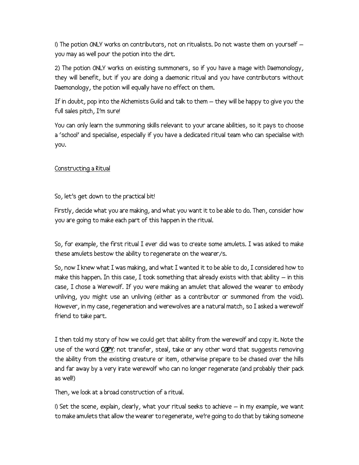1) The potion ONLY works on contributors, not on ritualists. Do not waste them on yourself – you may as well pour the potion into the dirt.

2) The potion ONLY works on existing summoners, so if you have a mage with Daemonology, they will benefit, but if you are doing a daemonic ritual and you have contributors without Daemonology, the potion will equally have no effect on them.

If in doubt, pop into the Alchemists Guild and talk to them – they will be happy to give you the full sales pitch, I'm sure!

You can only learn the summoning skills relevant to your arcane abilities, so it pays to choose a 'school' and specialise, especially if you have a dedicated ritual team who can specialise with you.

## Constructing a Ritual

## So, let's get down to the practical bit!

Firstly, decide what you are making, and what you want it to be able to do. Then, consider how you are going to make each part of this happen in the ritual.

So, for example, the first ritual I ever did was to create some amulets. I was asked to make these amulets bestow the ability to regenerate on the wearer/s.

So, now I knew what I was making, and what I wanted it to be able to do, I considered how to make this happen. In this case, I took something that already exists with that ability – in this case, I chose a Werewolf. If you were making an amulet that allowed the wearer to embody unliving, you might use an unliving (either as a contributor or summoned from the void). However, in my case, regeneration and werewolves are a natural match, so I asked a werewolf friend to take part.

I then told my story of how we could get that ability from the werewolf and copy it. Note the use of the word COPY: not transfer, steal, take or any other word that suggests removing the ability from the existing creature or item, otherwise prepare to be chased over the hills and far away by a very irate werewolf who can no longer regenerate (and probably their pack as well!)

Then, we look at a broad construction of a ritual.

1) Set the scene, explain, clearly, what your ritual seeks to achieve – in my example, we want to make amulets that allow the wearer to regenerate, we're going to do that by taking someone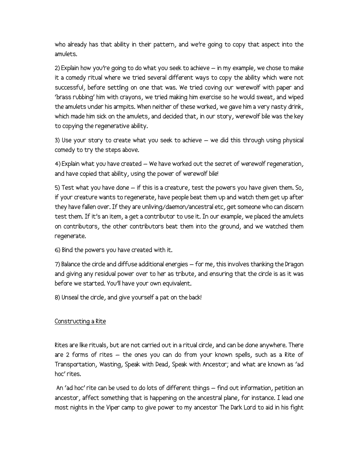who already has that ability in their pattern, and we're going to copy that aspect into the amulets.

2) Explain how you're going to do what you seek to achieve – in my example, we chose to make it a comedy ritual where we tried several different ways to copy the ability which were not successful, before settling on one that was. We tried coving our werewolf with paper and 'brass rubbing' him with crayons, we tried making him exercise so he would sweat, and wiped the amulets under his armpits. When neither of these worked, we gave him a very nasty drink, which made him sick on the amulets, and decided that, in our story, werewolf bile was the key to copying the regenerative ability.

3) Use your story to create what you seek to achieve – we did this through using physical comedy to try the steps above.

4) Explain what you have created – We have worked out the secret of werewolf regeneration, and have copied that ability, using the power of werewolf bile!

5) Test what you have done – if this is a creature, test the powers you have given them. So, if your creature wants to regenerate, have people beat them up and watch them get up after they have fallen over. If they are unliving/daemon/ancestral etc, get someone who can discern test them. If it's an item, a get a contributor to use it. In our example, we placed the amulets on contributors, the other contributors beat them into the ground, and we watched them regenerate.

6) Bind the powers you have created with it.

7) Balance the circle and diffuse additional energies – for me, this involves thanking the Dragon and giving any residual power over to her as tribute, and ensuring that the circle is as it was before we started. You'll have your own equivalent.

8) Unseal the circle, and give yourself a pat on the back!

## Constructing a Rite

Rites are like rituals, but are not carried out in a ritual circle, and can be done anywhere. There are 2 forms of rites – the ones you can do from your known spells, such as a Rite of Transportation, Wasting, Speak with Dead, Speak with Ancestor; and what are known as 'ad hoc' rites.

 An 'ad hoc' rite can be used to do lots of different things – find out information, petition an ancestor, affect something that is happening on the ancestral plane, for instance. I lead one most nights in the Viper camp to give power to my ancestor The Dark Lord to aid in his fight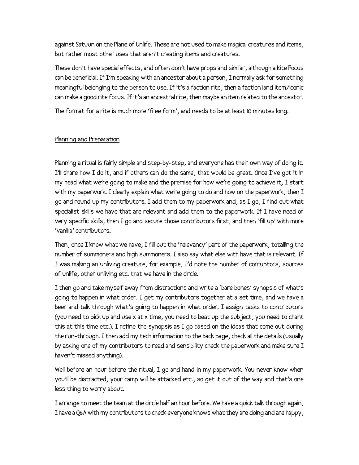against Satuun on the Plane of Unlife. These are not used to make magical creatures and items, but rather most other uses that aren't creating items and creatures.

These don't have special effects, and often don't have props and similar, although a Rite Focus can be beneficial. If I'm speaking with an ancestor about a person, I normally ask for something meaningful belonging to the person to use. If it's a faction rite, then a faction land item/iconic can make a good rite focus. If it's an ancestral rite, then maybe an item related to the ancestor.

The format for a rite is much more 'free form', and needs to be at least 10 minutes long.

## Planning and Preparation

Planning a ritual is fairly simple and step-by-step, and everyone has their own way of doing it. I'll share how I do it, and if others can do the same, that would be great. Once I've got it in my head what we're going to make and the premise for how we're going to achieve it, I start with my paperwork. I clearly explain what we're going to do and how on the paperwork, then I go and round up my contributors. I add them to my paperwork and, as I go, I find out what specialist skills we have that are relevant and add them to the paperwork. If I have need of very specific skills, then I go and secure those contributors first, and then 'fill up' with more 'vanilla' contributors.

Then, once I know what we have, I fill out the 'relevancy' part of the paperwork, totalling the number of summoners and high summoners. I also say what else with have that is relevant. If I was making an unliving creature, for example, I'd note the number of corruptors, sources of unlife, other unliving etc. that we have in the circle.

I then go and take myself away from distractions and write a 'bare bones' synopsis of what's going to happen in what order. I get my contributors together at a set time, and we have a beer and talk through what's going to happen in what order. I assign tasks to contributors (you need to pick up and use x at x time, you need to beat up the subject, you need to chant this at this time etc.). I refine the synopsis as I go based on the ideas that come out during the run-through. I then add my tech information to the back page, check all the details (usually by asking one of my contributors to read and sensibility check the paperwork and make sure I haven't missed anything).

Well before an hour before the ritual, I go and hand in my paperwork. You never know when you'll be distracted, your camp will be attacked etc., so get it out of the way and that's one less thing to worry about.

I arrange to meet the team at the circle half an hour before. We have a quick talk through again, I have a Q&A with my contributors to check everyone knows what they are doing and are happy,